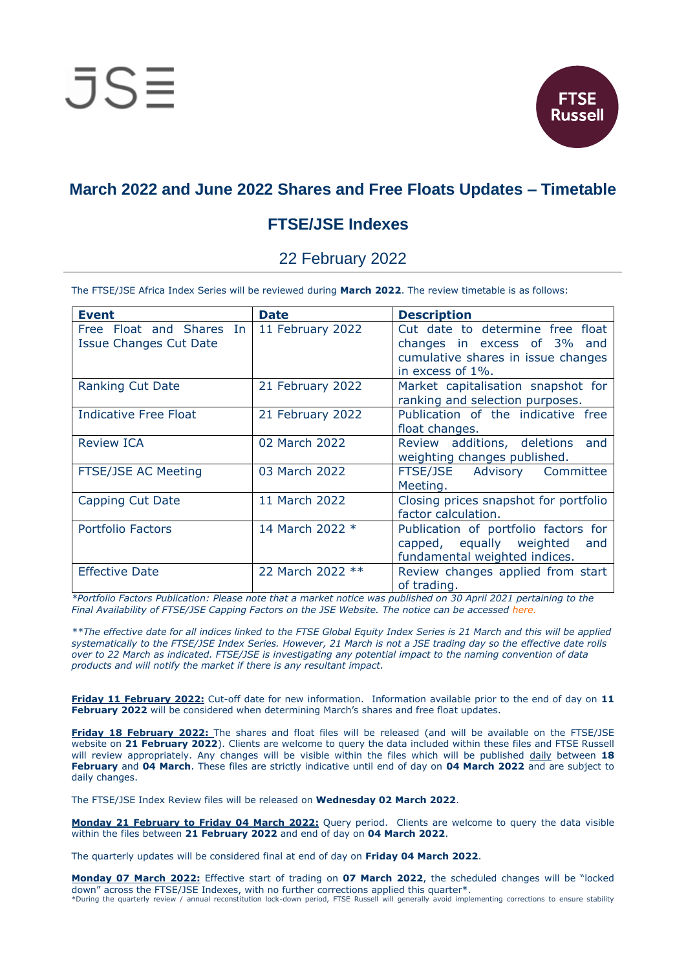

# **March 2022 and June 2022 Shares and Free Floats Updates – Timetable**

## **FTSE/JSE Indexes**

### 22 February 2022

The FTSE/JSE Africa Index Series will be reviewed during **March 2022**. The review timetable is as follows:

| <b>Event</b>                  | <b>Date</b>      | <b>Description</b>                    |
|-------------------------------|------------------|---------------------------------------|
|                               |                  |                                       |
| Free Float and Shares In      | 11 February 2022 | Cut date to determine free float      |
| <b>Issue Changes Cut Date</b> |                  | changes in excess of 3% and           |
|                               |                  | cumulative shares in issue changes    |
|                               |                  | in excess of 1%.                      |
|                               |                  |                                       |
| <b>Ranking Cut Date</b>       | 21 February 2022 | Market capitalisation snapshot for    |
|                               |                  | ranking and selection purposes.       |
| <b>Indicative Free Float</b>  | 21 February 2022 | Publication of the indicative free    |
|                               |                  | float changes.                        |
| <b>Review ICA</b>             | 02 March 2022    | Review additions, deletions<br>and    |
|                               |                  |                                       |
|                               |                  | weighting changes published.          |
| <b>FTSE/JSE AC Meeting</b>    | 03 March 2022    | FTSE/JSE Advisory Committee           |
|                               |                  | Meeting.                              |
| Capping Cut Date              | 11 March 2022    | Closing prices snapshot for portfolio |
|                               |                  | factor calculation.                   |
|                               |                  |                                       |
| <b>Portfolio Factors</b>      | 14 March 2022 *  | Publication of portfolio factors for  |
|                               |                  | capped, equally weighted and          |
|                               |                  | fundamental weighted indices.         |
| <b>Effective Date</b>         | 22 March 2022 ** | Review changes applied from start     |
|                               |                  | of trading.                           |
|                               |                  |                                       |

*\*Portfolio Factors Publication: Please note that a market notice was published on 30 April 2021 pertaining to the Final Availability of FTSE/JSE Capping Factors on the JSE Website. The notice can be accessed [here.](https://clientportal.jse.co.za/Content/ICANoticeItems/FTSE-JSE-Africa/20210430%20Final%20Availability%20of%20FTSE%20JSE%20Capping%20Factors%20on%20the%20JSE%20Website.pdf)*

*\*\*The effective date for all indices linked to the FTSE Global Equity Index Series is 21 March and this will be applied systematically to the FTSE/JSE Index Series. However, 21 March is not a JSE trading day so the effective date rolls over to 22 March as indicated. FTSE/JSE is investigating any potential impact to the naming convention of data products and will notify the market if there is any resultant impact.*

**Friday 11 February 2022:** Cut-off date for new information. Information available prior to the end of day on **11 February 2022** will be considered when determining March's shares and free float updates.

**Friday 18 February 2022:** The shares and float files will be released (and will be available on the FTSE/JSE website on **21 February 2022**). Clients are welcome to query the data included within these files and FTSE Russell will review appropriately. Any changes will be visible within the files which will be published daily between **18 February** and **04 March**. These files are strictly indicative until end of day on **04 March 2022** and are subject to daily changes.

The FTSE/JSE Index Review files will be released on **Wednesday 02 March 2022**.

**Monday 21 February to Friday 04 March 2022:** Query period. Clients are welcome to query the data visible within the files between **21 February 2022** and end of day on **04 March 2022**.

The quarterly updates will be considered final at end of day on **Friday 04 March 2022**.

**Monday 07 March 2022:** Effective start of trading on **07 March 2022**, the scheduled changes will be "locked down" across the FTSE/JSE Indexes, with no further corrections applied this quarter\*. \*During the quarterly review / annual reconstitution lock-down period, FTSE Russell will generally avoid implementing corrections to ensure stability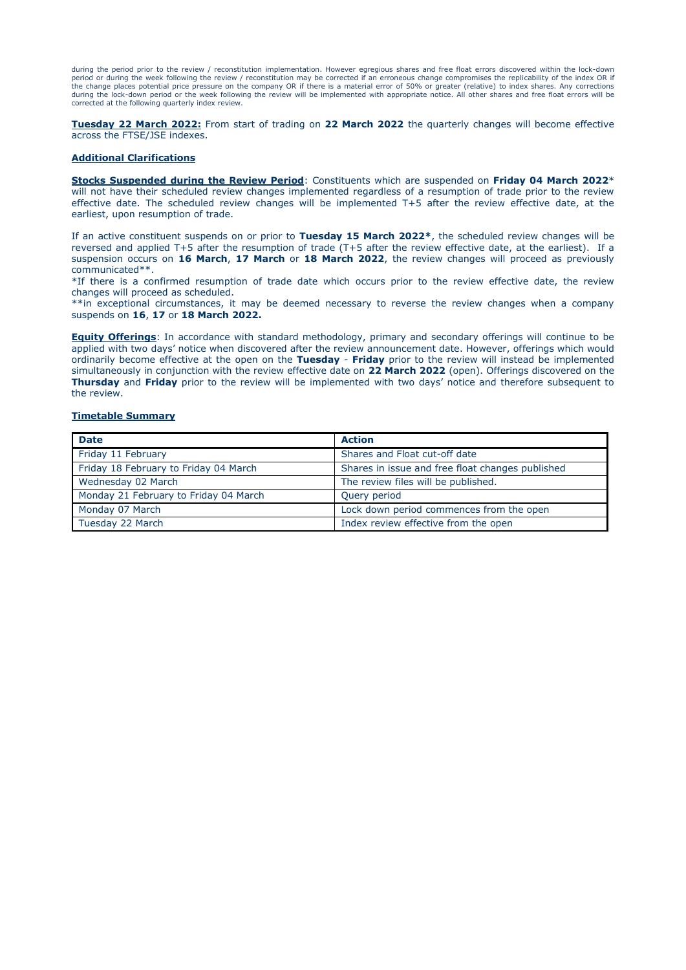during the period prior to the review / reconstitution implementation. However egregious shares and free float errors discovered within the lock-down<br>period or during the week following the review / reconstitution may be c the change places potential price pressure on the company OR if there is a material error of 50% or greater (relative) to index shares. Any corrections during the lock-down period or the week following the review will be implemented with appropriate notice. All other shares and free float errors will be corrected at the following quarterly index review.

**Tuesday 22 March 2022:** From start of trading on **22 March 2022** the quarterly changes will become effective across the FTSE/JSE indexes.

#### **Additional Clarifications**

**Stocks Suspended during the Review Period**: Constituents which are suspended on **Friday 04 March 2022**\* will not have their scheduled review changes implemented regardless of a resumption of trade prior to the review effective date. The scheduled review changes will be implemented T+5 after the review effective date, at the earliest, upon resumption of trade.

If an active constituent suspends on or prior to **Tuesday 15 March 2022\***, the scheduled review changes will be reversed and applied T+5 after the resumption of trade (T+5 after the review effective date, at the earliest). If a suspension occurs on **16 March**, **17 March** or **18 March 2022**, the review changes will proceed as previously communicated\*\*.

\*If there is a confirmed resumption of trade date which occurs prior to the review effective date, the review changes will proceed as scheduled.

\*\*in exceptional circumstances, it may be deemed necessary to reverse the review changes when a company suspends on **16**, **17** or **18 March 2022.**

**Equity Offerings**: In accordance with standard methodology, primary and secondary offerings will continue to be applied with two days' notice when discovered after the review announcement date. However, offerings which would ordinarily become effective at the open on the **Tuesday** - **Friday** prior to the review will instead be implemented simultaneously in conjunction with the review effective date on **22 March 2022** (open). Offerings discovered on the **Thursday** and **Friday** prior to the review will be implemented with two days' notice and therefore subsequent to the review.

#### **Timetable Summary**

| <b>Date</b>                           | <b>Action</b>                                    |
|---------------------------------------|--------------------------------------------------|
| Friday 11 February                    | Shares and Float cut-off date                    |
| Friday 18 February to Friday 04 March | Shares in issue and free float changes published |
| Wednesday 02 March                    | The review files will be published.              |
| Monday 21 February to Friday 04 March | Query period                                     |
| Monday 07 March                       | Lock down period commences from the open         |
| Tuesday 22 March                      | Index review effective from the open             |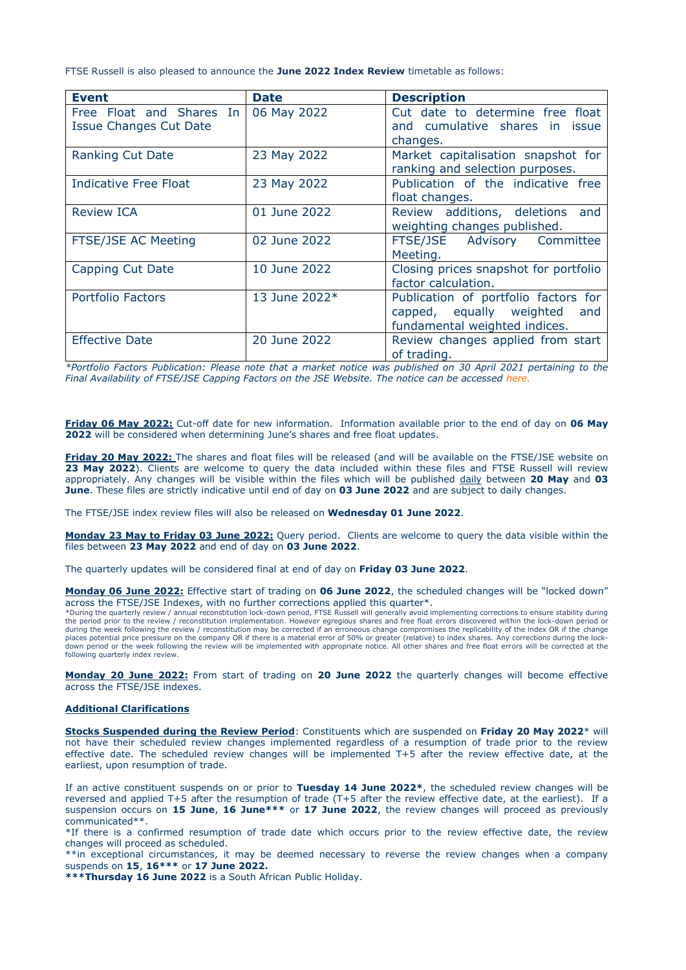FTSE Russell is also pleased to announce the **June 2022 Index Review** timetable as follows:

| <b>Event</b>                                              | <b>Date</b>   | <b>Description</b>                                                                                       |
|-----------------------------------------------------------|---------------|----------------------------------------------------------------------------------------------------------|
| Free Float and Shares In<br><b>Issue Changes Cut Date</b> | 06 May 2022   | Cut date to determine free float<br>and cumulative shares in issue<br>changes.                           |
| <b>Ranking Cut Date</b>                                   | 23 May 2022   | Market capitalisation snapshot for<br>ranking and selection purposes.                                    |
| Indicative Free Float                                     | 23 May 2022   | Publication of the indicative free<br>float changes.                                                     |
| <b>Review ICA</b>                                         | 01 June 2022  | Review additions, deletions<br>and<br>weighting changes published.                                       |
| FTSE/JSE AC Meeting                                       | 02 June 2022  | FTSE/JSE Advisory Committee<br>Meeting.                                                                  |
| Capping Cut Date                                          | 10 June 2022  | Closing prices snapshot for portfolio<br>factor calculation.                                             |
| Portfolio Factors                                         | 13 June 2022* | Publication of portfolio factors for<br>capped, equally weighted<br>and<br>fundamental weighted indices. |
| <b>Effective Date</b>                                     | 20 June 2022  | Review changes applied from start<br>of trading.                                                         |

*\*Portfolio Factors Publication: Please note that a market notice was published on 30 April 2021 pertaining to the Final Availability of FTSE/JSE Capping Factors on the JSE Website. The notice can be accessed [here.](https://clientportal.jse.co.za/Content/ICANoticeItems/FTSE-JSE-Africa/20210430%20Final%20Availability%20of%20FTSE%20JSE%20Capping%20Factors%20on%20the%20JSE%20Website.pdf)*

**Friday 06 May 2022:** Cut-off date for new information. Information available prior to the end of day on **06 May 2022** will be considered when determining June's shares and free float updates.

**Friday 20 May 2022:** The shares and float files will be released (and will be available on the FTSE/JSE website on **23 May 2022**). Clients are welcome to query the data included within these files and FTSE Russell will review appropriately. Any changes will be visible within the files which will be published daily between **20 May** and **03 June**. These files are strictly indicative until end of day on **03 June 2022** and are subject to daily changes.

The FTSE/JSE index review files will also be released on **Wednesday 01 June 2022**.

**Monday 23 May to Friday 03 June 2022:** Query period. Clients are welcome to query the data visible within the files between **23 May 2022** and end of day on **03 June 2022**.

The quarterly updates will be considered final at end of day on **Friday 03 June 2022**.

**Monday 06 June 2022:** Effective start of trading on **06 June 2022**, the scheduled changes will be "locked down" across the FTSE/JSE Indexes, with no further corrections applied this quarter\*.<br>\*During the quarterly review / annual reconstitution lock-down period, FTSE Russell will generally avoid implementing corrections to ensure st

the period prior to the review / reconstitution implementation. However egregious shares and free float errors discovered within the lock-down period or during the week following the review / reconstitution may be corrected if an erroneous change compromises the replicability of the index OR if the change<br>places potential price pressure on the company OR if there is a mate down period or the week following the review will be implemented with appropriate notice. All other shares and free float errors will be corrected at the following quarterly index review.

**Monday 20 June 2022:** From start of trading on **20 June 2022** the quarterly changes will become effective across the FTSE/JSE indexes.

#### **Additional Clarifications**

**Stocks Suspended during the Review Period**: Constituents which are suspended on **Friday 20 May 2022**\* will not have their scheduled review changes implemented regardless of a resumption of trade prior to the review effective date. The scheduled review changes will be implemented T+5 after the review effective date, at the earliest, upon resumption of trade.

If an active constituent suspends on or prior to **Tuesday 14 June 2022\***, the scheduled review changes will be reversed and applied T+5 after the resumption of trade (T+5 after the review effective date, at the earliest). If a suspension occurs on **15 June**, **16 June\*\*\*** or **17 June 2022**, the review changes will proceed as previously communicated\*\*.

\*If there is a confirmed resumption of trade date which occurs prior to the review effective date, the review changes will proceed as scheduled.

\*\*in exceptional circumstances, it may be deemed necessary to reverse the review changes when a company suspends on **15**, **16\*\*\*** or **17 June 2022.**

**\*\*\*Thursday 16 June 2022** is a South African Public Holiday.